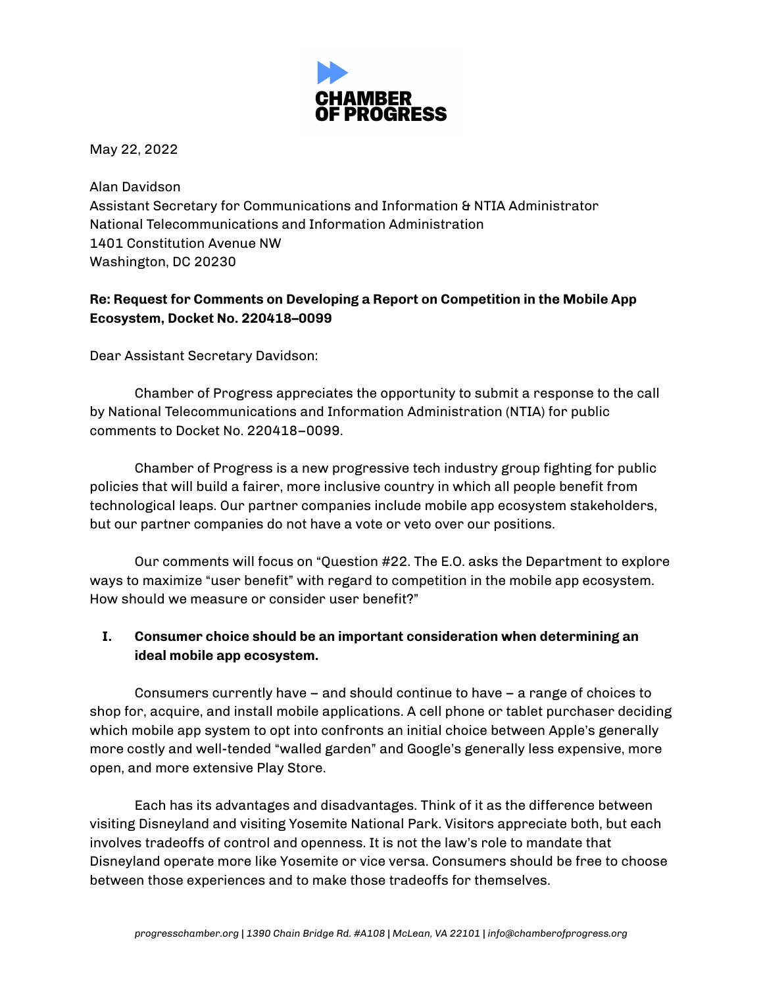

May 22, 2022

Alan Davidson Assistant Secretary for Communications and Information & NTIA Administrator National Telecommunications and Information Administration 1401 Constitution Avenue NW Washington, DC 20230

## **Re: Request for Comments on Developing a Report on Competition in the Mobile App Ecosystem, Docket No. 220418–0099**

Dear Assistant Secretary Davidson:

Chamber of Progress appreciates the opportunity to submit a response to the call by National Telecommunications and Information Administration (NTIA) for public comments to Docket No. 220418–0099.

Chamber of Progress is a new progressive tech industry group fighting for public policies that will build a fairer, more inclusive country in which all people benefit from technological leaps. Our partner companies include mobile app ecosystem stakeholders, but our partner companies do not have a vote or veto over our positions.

Our comments will focus on "Question #22. The E.O. asks the Department to explore ways to maximize "user benefit" with regard to competition in the mobile app ecosystem. How should we measure or consider user benefit?"

## **I. Consumer choice should be an important consideration when determining an ideal mobile app ecosystem.**

Consumers currently have – and should continue to have – a range of choices to shop for, acquire, and install mobile applications. A cell phone or tablet purchaser deciding which mobile app system to opt into confronts an initial choice between Apple's generally more costly and well-tended "walled garden" and Google's generally less expensive, more open, and more extensive Play Store.

Each has its advantages and disadvantages. Think of it as the difference between visiting Disneyland and visiting Yosemite National Park. Visitors appreciate both, but each involves tradeoffs of control and openness. It is not the law's role to mandate that Disneyland operate more like Yosemite or vice versa. Consumers should be free to choose between those experiences and to make those tradeoffs for themselves.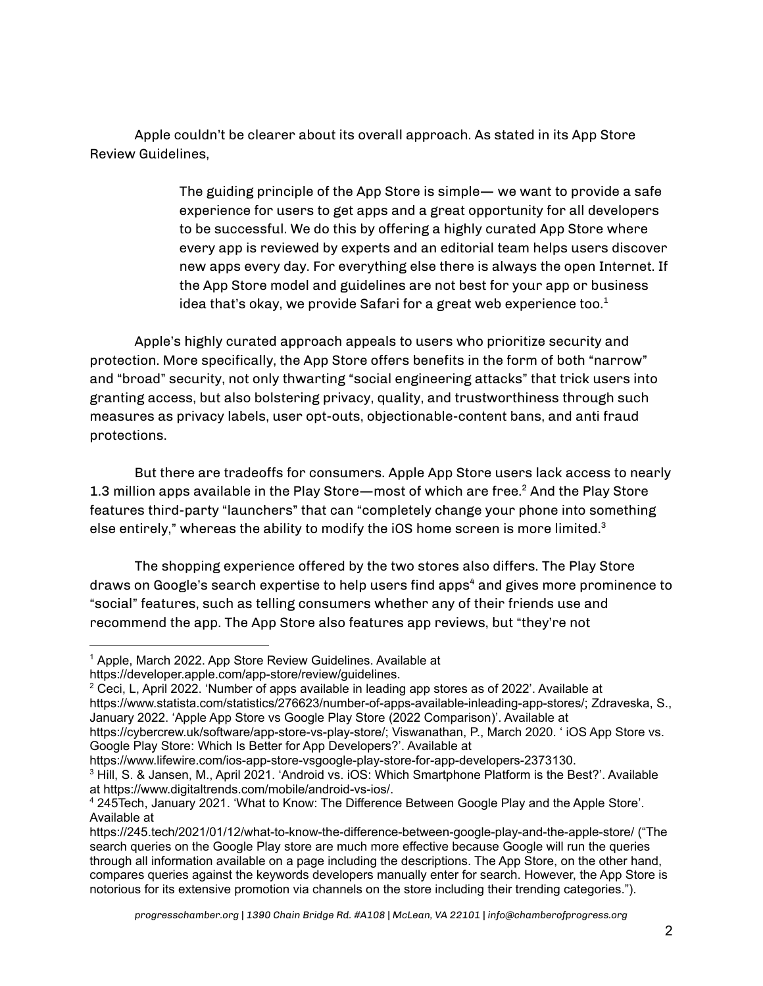Apple couldn't be clearer about its overall approach. As stated in its App Store Review Guidelines,

> The guiding principle of the App Store is simple— we want to provide a safe experience for users to get apps and a great opportunity for all developers to be successful. We do this by offering a highly curated App Store where every app is reviewed by experts and an editorial team helps users discover new apps every day. For everything else there is always the open Internet. If the App Store model and guidelines are not best for your app or business idea that's okay, we provide Safari for a great web experience too. $^{\rm 1}$

Apple's highly curated approach appeals to users who prioritize security and protection. More specifically, the App Store offers benefits in the form of both "narrow" and "broad" security, not only thwarting "social engineering attacks" that trick users into granting access, but also bolstering privacy, quality, and trustworthiness through such measures as privacy labels, user opt-outs, objectionable-content bans, and anti fraud protections.

But there are tradeoffs for consumers. Apple App Store users lack access to nearly 1.3 million apps available in the Play Store—most of which are free. $^2$  And the Play Store features third-party "launchers" that can "completely change your phone into something else entirely," whereas the ability to modify the iOS home screen is more limited. $^{\rm 3}$ 

The shopping experience offered by the two stores also differs. The Play Store draws on Google's search expertise to help users find apps <sup>4</sup> and gives more prominence to "social" features, such as telling consumers whether any of their friends use and recommend the app. The App Store also features app reviews, but "they're not

https://www.lifewire.com/ios-app-store-vsgoogle-play-store-for-app-developers-2373130.

<sup>&</sup>lt;sup>1</sup> Apple, March 2022, App Store Review Guidelines, Available at

https://developer.apple.com/app-store/review/guidelines.

<sup>2</sup> Ceci, L, April 2022. 'Number of apps available in leading app stores as of 2022'. Available at https://www.statista.com/statistics/276623/number-of-apps-available-inleading-app-stores/; Zdraveska, S., January 2022. 'Apple App Store vs Google Play Store (2022 Comparison)'. Available at https://cybercrew.uk/software/app-store-vs-play-store/; Viswanathan, P., March 2020. ' iOS App Store vs. Google Play Store: Which Is Better for App Developers?'. Available at

<sup>3</sup> Hill, S. & Jansen, M., April 2021. 'Android vs. iOS: Which Smartphone Platform is the Best?'. Available at https://www.digitaltrends.com/mobile/android-vs-ios/.

<sup>4</sup> 245Tech, January 2021. 'What to Know: The Difference Between Google Play and the Apple Store'. Available at

https://245.tech/2021/01/12/what-to-know-the-difference-between-google-play-and-the-apple-store/ ("The search queries on the Google Play store are much more effective because Google will run the queries through all information available on a page including the descriptions. The App Store, on the other hand, compares queries against the keywords developers manually enter for search. However, the App Store is notorious for its extensive promotion via channels on the store including their trending categories.").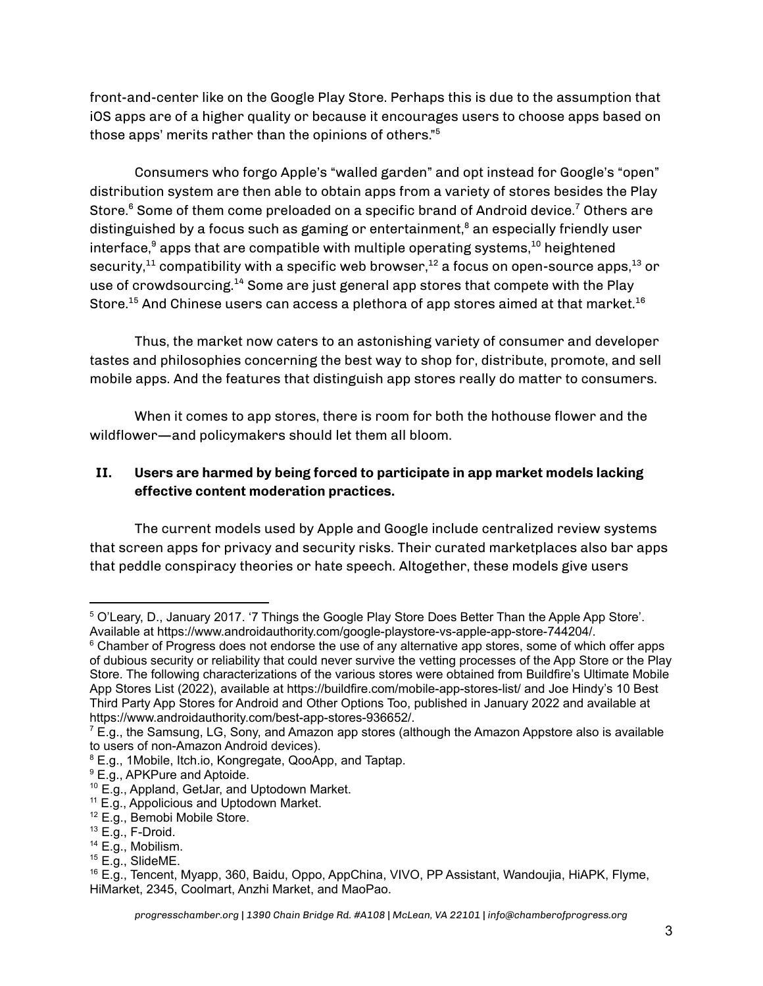front-and-center like on the Google Play Store. Perhaps this is due to the assumption that iOS apps are of a higher quality or because it encourages users to choose apps based on those apps' merits rather than the opinions of others." 5

Consumers who forgo Apple's "walled garden" and opt instead for Google's "open" distribution system are then able to obtain apps from a variety of stores besides the Play Store. <sup>6</sup> Some of them come preloaded on a specific brand of Android device. <sup>7</sup> Others are distinguished by a focus such as gaming or entertainment, <sup>8</sup> an especially friendly user interface, $^{\circ}$  apps that are compatible with multiple operating systems, $^{10}$  heightened security, $^{\rm 11}$  compatibility with a specific web browser, $^{\rm 12}$  a focus on open-source apps, $^{\rm 13}$  or use of crowdsourcing.<sup>14</sup> Some are just general app stores that compete with the Play Store. $^{15}$  And Chinese users can access a plethora of app stores aimed at that market. $^{16}$ 

Thus, the market now caters to an astonishing variety of consumer and developer tastes and philosophies concerning the best way to shop for, distribute, promote, and sell mobile apps. And the features that distinguish app stores really do matter to consumers.

When it comes to app stores, there is room for both the hothouse flower and the wildflower—and policymakers should let them all bloom.

## **II. Users are harmed by being forced to participate in app market models lacking effective content moderation practices.**

The current models used by Apple and Google include centralized review systems that screen apps for privacy and security risks. Their curated marketplaces also bar apps that peddle conspiracy theories or hate speech. Altogether, these models give users

<sup>5</sup> O'Leary, D., January 2017. '7 Things the Google Play Store Does Better Than the Apple App Store'. Available at https://www.androidauthority.com/google-playstore-vs-apple-app-store-744204/.

 $6$  Chamber of Progress does not endorse the use of any alternative app stores, some of which offer apps of dubious security or reliability that could never survive the vetting processes of the App Store or the Play Store. The following characterizations of the various stores were obtained from Buildfire's Ultimate Mobile App Stores List (2022), available at https://buildfire.com/mobile-app-stores-list/ and Joe Hindy's 10 Best Third Party App Stores for Android and Other Options Too, published in January 2022 and available at https://www.androidauthority.com/best-app-stores-936652/.

 $7$  E.g., the Samsung, LG, Sony, and Amazon app stores (although the Amazon Appstore also is available to users of non-Amazon Android devices).

<sup>8</sup> E.g., 1Mobile, Itch.io, Kongregate, QooApp, and Taptap.

<sup>9</sup> E.g., APKPure and Aptoide.

<sup>10</sup> E.g., Appland, GetJar, and Uptodown Market.

<sup>11</sup> E.g., Appolicious and Uptodown Market.

<sup>12</sup> E.g., Bemobi Mobile Store.

<sup>13</sup> E.g., F-Droid.

 $14$  E.g., Mobilism.

 $15$  E.g., SlideME.

<sup>16</sup> E.g., Tencent, Myapp, 360, Baidu, Oppo, AppChina, VIVO, PP Assistant, Wandoujia, HiAPK, Flyme, HiMarket, 2345, Coolmart, Anzhi Market, and MaoPao.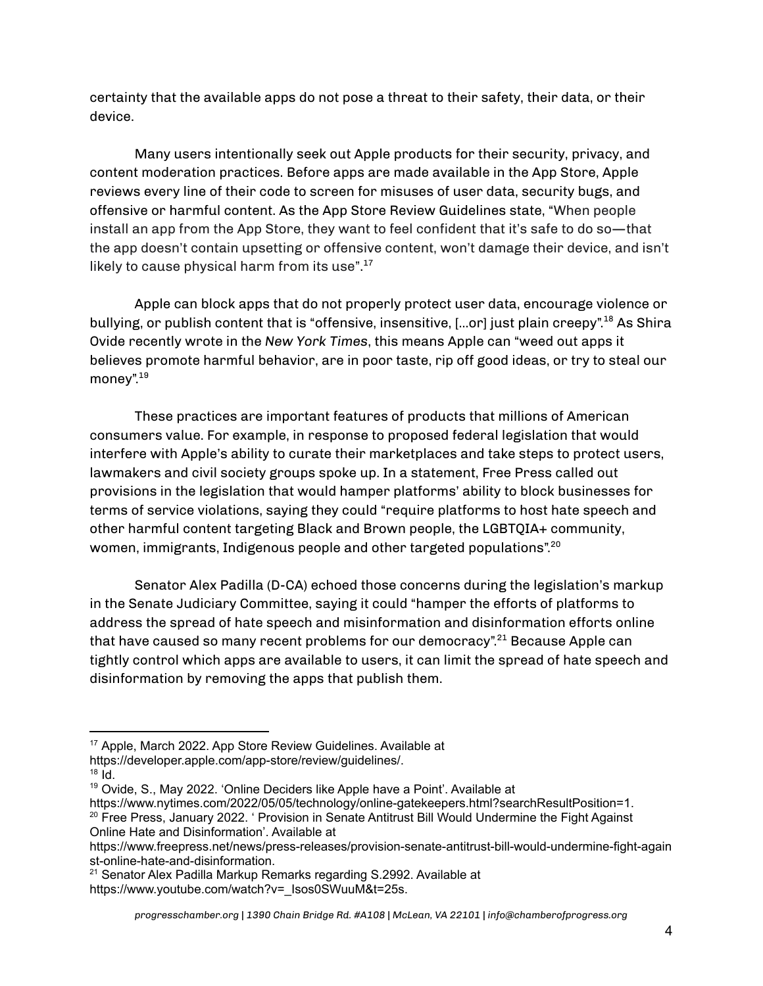certainty that the available apps do not pose a threat to their safety, their data, or their device.

Many users intentionally seek out Apple products for their security, privacy, and content moderation practices. Before apps are made available in the App Store, Apple reviews every line of their code to screen for misuses of user data, security bugs, and offensive or harmful content. As the App Store Review Guidelines state, "When people install an app from the App Store, they want to feel confident that it's safe to do so—that the app doesn't contain upsetting or offensive content, won't damage their device, and isn't likely to cause physical harm from its use". 17

Apple can block apps that do not properly protect user data, encourage violence or bullying, or publish content that is "offensive, insensitive, [...or] just plain creepy".<sup>18</sup> As Shira Ovide recently wrote in the *New York Times*, this means Apple can "weed out apps it believes promote harmful behavior, are in poor taste, rip off good ideas, or try to steal our money".<sup>19</sup>

These practices are important features of products that millions of American consumers value. For example, in response to proposed federal legislation that would interfere with Apple's ability to curate their marketplaces and take steps to protect users, lawmakers and civil society groups spoke up. In a statement, Free Press called out provisions in the legislation that would hamper platforms' ability to block businesses for terms of service violations, saying they could "require platforms to host hate speech and other harmful content targeting Black and Brown people, the LGBTQIA+ community, women, immigrants, Indigenous people and other targeted populations". 20

Senator Alex Padilla (D-CA) echoed those concerns during the legislation's markup in the Senate Judiciary Committee, saying it could "hamper the efforts of platforms to address the spread of hate speech and misinformation and disinformation efforts online that have caused so many recent problems for our democracy".<sup>21</sup> Because Apple can tightly control which apps are available to users, it can limit the spread of hate speech and disinformation by removing the apps that publish them.

<sup>17</sup> Apple, March 2022. App Store Review Guidelines. Available at

https://developer.apple.com/app-store/review/guidelines/.

<sup>18</sup> Id.

 $19$  Ovide, S., May 2022. 'Online Deciders like Apple have a Point'. Available at

<sup>&</sup>lt;sup>20</sup> Free Press, January 2022. ' Provision in Senate Antitrust Bill Would Undermine the Fight Against https://www.nytimes.com/2022/05/05/technology/online-gatekeepers.html?searchResultPosition=1.

Online Hate and Disinformation'. Available at

https://www.freepress.net/news/press-releases/provision-senate-antitrust-bill-would-undermine-fight-again st-online-hate-and-disinformation.

<sup>&</sup>lt;sup>21</sup> Senator Alex Padilla Markup Remarks regarding S.2992. Available at https://www.youtube.com/watch?v=\_Isos0SWuuM&t=25s.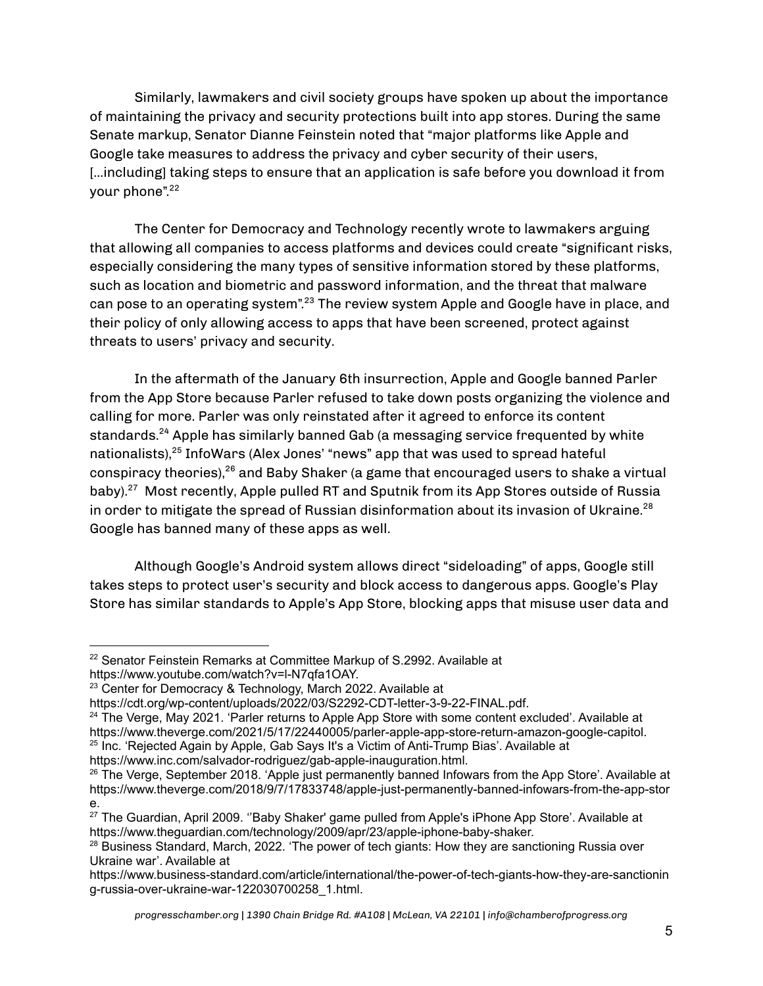Similarly, lawmakers and civil society groups have spoken up about the importance of maintaining the privacy and security protections built into app stores. During the same Senate markup, Senator Dianne Feinstein noted that "major platforms like Apple and Google take measures to address the privacy and cyber security of their users, [...including] taking steps to ensure that an application is safe before you download it from your phone". 22

The Center for Democracy and Technology recently wrote to lawmakers arguing that allowing all companies to access platforms and devices could create "significant risks, especially considering the many types of sensitive information stored by these platforms, such as location and biometric and password information, and the threat that malware can pose to an operating system".<sup>23</sup> The review system Apple and Google have in place, and their policy of only allowing access to apps that have been screened, protect against threats to users' privacy and security.

In the aftermath of the January 6th insurrection, Apple and Google banned Parler from the App Store because Parler refused to take down posts organizing the violence and calling for more. Parler was only reinstated after it agreed to enforce its content standards. <sup>24</sup> Apple has similarly banned Gab (a messaging service frequented by white nationalists), 25 InfoWars (Alex Jones' "news" app that was used to spread hateful conspiracy theories), <sup>26</sup> and Baby Shaker (a game that encouraged users to shake a virtual baby). <sup>27</sup> Most recently, Apple pulled RT and Sputnik from its App Stores outside of Russia in order to mitigate the spread of Russian disinformation about its invasion of Ukraine. 28 Google has banned many of these apps as well.

Although Google's Android system allows direct "sideloading" of apps, Google still takes steps to protect user's security and block access to dangerous apps. Google's Play Store has similar standards to Apple's App Store, blocking apps that misuse user data and

<sup>25</sup> Inc. 'Rejected Again by Apple, Gab Says It's a Victim of Anti-Trump Bias'. Available at <sup>24</sup> The Verge, May 2021. 'Parler returns to Apple App Store with some content excluded'. Available at https://www.theverge.com/2021/5/17/22440005/parler-apple-app-store-return-amazon-google-capitol.

https://www.inc.com/salvador-rodriguez/gab-apple-inauguration.html.

<sup>&</sup>lt;sup>22</sup> Senator Feinstein Remarks at Committee Markup of S.2992. Available at https://www.youtube.com/watch?v=l-N7qfa1OAY.

<sup>&</sup>lt;sup>23</sup> Center for Democracy & Technology, March 2022. Available at

https://cdt.org/wp-content/uploads/2022/03/S2292-CDT-letter-3-9-22-FINAL.pdf.

<sup>&</sup>lt;sup>26</sup> The Verge, September 2018. 'Apple just permanently banned Infowars from the App Store'. Available at https://www.theverge.com/2018/9/7/17833748/apple-just-permanently-banned-infowars-from-the-app-stor e.

<sup>&</sup>lt;sup>27</sup> The Guardian, April 2009. "Baby Shaker' game pulled from Apple's iPhone App Store'. Available at https://www.theguardian.com/technology/2009/apr/23/apple-iphone-baby-shaker.

<sup>&</sup>lt;sup>28</sup> Business Standard, March, 2022. 'The power of tech giants: How they are sanctioning Russia over Ukraine war'. Available at

https://www.business-standard.com/article/international/the-power-of-tech-giants-how-they-are-sanctionin g-russia-over-ukraine-war-122030700258\_1.html.